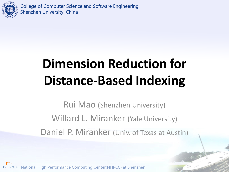

# **Dimension Reduction for Distance-Based Indexing**

Rui Mao (Shenzhen University) Willard L. Miranker (Yale University) Daniel P. Miranker (Univ. of Texas at Austin)

1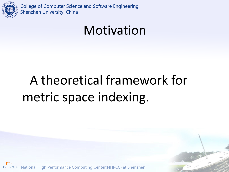

#### Motivation

# A theoretical framework for metric space indexing.

2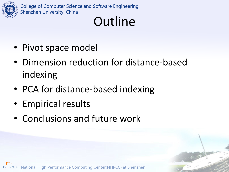

# **Outline**

3

- Pivot space model
- Dimension reduction for distance-based indexing
- PCA for distance-based indexing
- Empirical results
- Conclusions and future work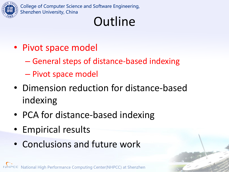

# **Outline**

- Pivot space model
	- General steps of distance-based indexing
	- Pivot space model
- Dimension reduction for distance-based indexing

4

- PCA for distance-based indexing
- Empirical results
- Conclusions and future work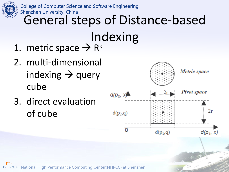

**College of Computer Science and Software Engineering,** 

# Shenzhen University, China<br>General steps of Distance-based

- Indexing 1. metric space  $\rightarrow$  R<sup>k</sup>
- 2. multi-dimensional indexing  $\rightarrow$  query cube
- 3. direct evaluation of cube



5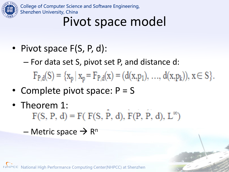

#### Pivot space model

• Pivot space F(S, P, d):

– For data set S, pivot set P, and distance d:

 $F_{P,d}(S) = \{x_p | x_p = F_{P,d}(x) = (d(x,p_1), ..., d(x,p_k)), x \in S\}.$ 

6

- Complete pivot space:  $P = S$
- Theorem 1:<br>F(S, P, d) = F(F(S, P, d), F(P, P, d), L<sup>∞</sup>)

 $-$  Metric space  $\rightarrow$  R<sup>n</sup>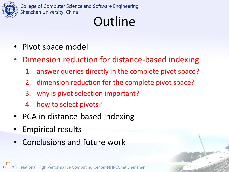

# **Outline**

- Pivot space model
- Dimension reduction for distance-based indexing
	- 1. answer queries directly in the complete pivot space?

7

- 2. dimension reduction for the complete pivot space?
- 3. why is pivot selection important?
- 4. how to select pivots?
- PCA in distance-based indexing
- Empirical results
- Conclusions and future work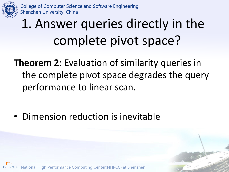

# 1. Answer queries directly in the complete pivot space?

**Theorem 2**: Evaluation of similarity queries in the complete pivot space degrades the query performance to linear scan.

8

• Dimension reduction is inevitable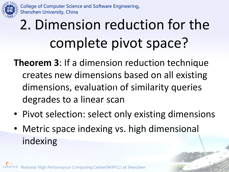

# 2. Dimension reduction for the complete pivot space?

**Theorem 3**: If a dimension reduction technique creates new dimensions based on all existing dimensions, evaluation of similarity queries degrades to a linear scan

• Pivot selection: select only existing dimensions

9

• Metric space indexing vs. high dimensional indexing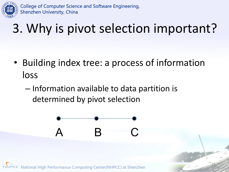

# 3. Why is pivot selection important?

• Building index tree: a process of information loss

10

– Information available to data partition is determined by pivot selection

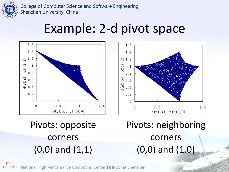

#### Example: 2-d pivot space



Pivots: opposite corners (0,0) and (1,1)

Pivots: neighboring corners (0,0) and (1,0)

11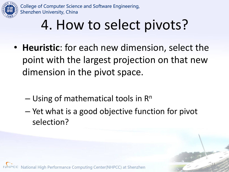

# 4. How to select pivots?

- **Heuristic**: for each new dimension, select the point with the largest projection on that new dimension in the pivot space.
	- $-$  Using of mathematical tools in  $\mathsf{R}^n$
	- Yet what is a good objective function for pivot selection?

12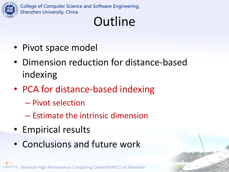

# **Outline**

13

- Pivot space model
- Dimension reduction for distance-based indexing
- PCA for distance-based indexing
	- Pivot selection
	- Estimate the intrinsic dimension
- Empirical results
- Conclusions and future work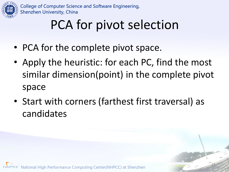

# PCA for pivot selection

- PCA for the complete pivot space.
- Apply the heuristic: for each PC, find the most similar dimension(point) in the complete pivot space
- Start with corners (farthest first traversal) as candidates

14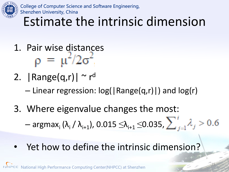

Estimate the intrinsic dimension

- 1. Pair wise distances<br> $\rho = \mu^2/2\sigma^2$
- 2.  $|Range(q,r)| \sim r^d$ 
	- Linear regression: log(|Range(q,r)|) and log(r)
- 3. Where eigenvalue changes the most:

 $-$  argmax<sub>i</sub> (λ<sub>i</sub> / λ<sub>i+1</sub>), 0.015  $\leq$ λ<sub>i+1</sub>  $\leq$ 0.035,

15

Yet how to define the intrinsic dimension?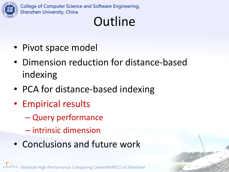

# **Outline**

16

- Pivot space model
- Dimension reduction for distance-based indexing
- PCA for distance-based indexing
- Empirical results
	- Query performance
	- intrinsic dimension
- Conclusions and future work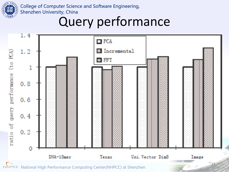

#### Query performance

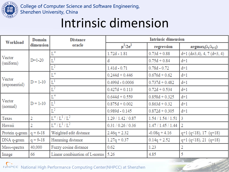

#### Intrinsic dimension

| Workload                | Domain<br>dimension | <b>Distance</b><br>oracle               | <b>Intrinsic dimension</b> |                    |                                          |
|-------------------------|---------------------|-----------------------------------------|----------------------------|--------------------|------------------------------------------|
|                         |                     |                                         | $\mu^2/2\sigma^2$          | regression         | $argmax_i(\lambda_i/\lambda_{i+1})$      |
| Vector<br>(uniform)     | $D=1-20$            | $\Gamma_\infty$                         | 1.72d - 1.81               | $0.73d + 0.88$     | $d+1$ ( $d\neq 3,4$ ), 4, 7 ( $d=3, 4$ ) |
|                         |                     | $\text{L}^1$                            | d                          | $0.75d + 0.84$     | $d+1$                                    |
|                         |                     | $L^2$                                   | $1.41d - 0.71$             | $0.78d - 0.72$     | $d+1$                                    |
| Vector<br>(exponential) | $D = 1 - 10$        | $\mathop{\hbox{\rm L}}\nolimits^\infty$ | $0.244d + 0.446$           | $0.676d + 0.62$    | $d+1$                                    |
|                         |                     | $L^1$                                   | $0.499d - 0.0006$          | $0.737d + 0.482$   | $d+1$                                    |
|                         |                     | $L^2$                                   | $0.427d + 0.113$           | $0.72d + 0.534$    | $d+1$                                    |
| Vector<br>(normal)      | $D = 1 - 10$        | $\Gamma_\infty$                         | $0.644d + 0.559$           | $0.858d + 0.325$   | $d+1$                                    |
|                         |                     | $L^1$                                   | $0.875d + 0.002$           | $0.863d + 0.32$    | $d+1$                                    |
|                         |                     | $L^2$                                   | $0.989d - 0.145$           | $0.872d + 0.305$   | $d+1$                                    |
| Texas                   | 2                   | $L^{\infty}/L^1/L^2$                    | 1.29 / 1.42 / 0.87         | 1.54 / 1.54 / 1.51 | 3                                        |
| Hawaii                  | 2                   | $L^{\infty}/L^1/L^2$                    | 0.31 / 0.26 / 0.36         | 1.47 / 1.45 / 1.44 | 2                                        |
| Protein q-gram          | $q = 6 - 18$        | Weighted edit distance                  | $2.46q + 2.32$             | $-0.08q + 4.16$    | $q+1$ ( $q<18$ ), 17 ( $q=18$ )          |
| $DNA q-gram$            | $q = 9 - 18$        | Hamming distance                        | $1.27q + 0.37$             | $0.14q + 2.52$     | $q+1$ ( $q<18$ ), 21 ( $q=18$ )          |
| Mass-spectra            | 40,000              | Fuzzy cosine distance                   | 0.62                       | 1.23               |                                          |
| Image                   | 66                  | Linear combination of L-norms           | 5.26                       | 4.85               | 5                                        |

 $18$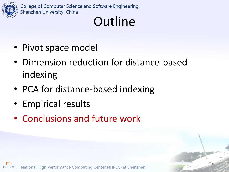

# **Outline**

19

- Pivot space model
- Dimension reduction for distance-based indexing
- PCA for distance-based indexing
- Empirical results
- Conclusions and future work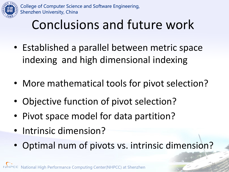

# Conclusions and future work

- Established a parallel between metric space indexing and high dimensional indexing
- More mathematical tools for pivot selection?
- Objective function of pivot selection?
- Pivot space model for data partition?
- Intrinsic dimension?
- Optimal num of pivots vs. intrinsic dimension?

20